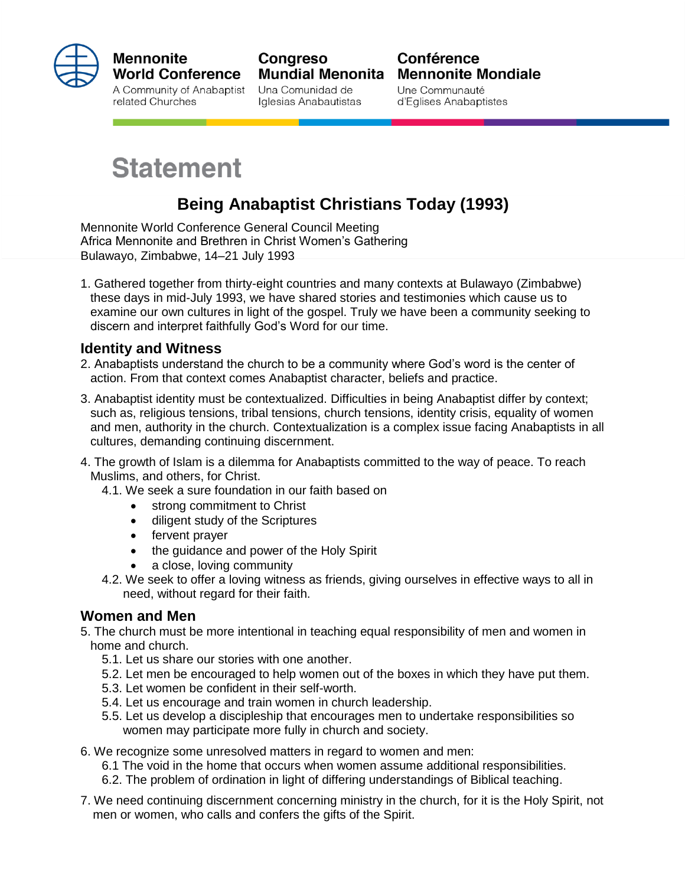

#### **Mennonite World Conference**

A Community of Anabaptist related Churches

**Congreso Mundial Menonita** Una Comunidad de Iglesias Anabautistas

### Conférence **Mennonite Mondiale**

Une Communauté d'Eglises Anabaptistes

# **Statement**

## **Being Anabaptist Christians Today (1993)**

Mennonite World Conference General Council Meeting Africa Mennonite and Brethren in Christ Women's Gathering Bulawayo, Zimbabwe, 14–21 July 1993

1. Gathered together from thirty-eight countries and many contexts at Bulawayo (Zimbabwe) these days in mid-July 1993, we have shared stories and testimonies which cause us to examine our own cultures in light of the gospel. Truly we have been a community seeking to discern and interpret faithfully God's Word for our time.

#### **Identity and Witness**

- 2. Anabaptists understand the church to be a community where God's word is the center of action. From that context comes Anabaptist character, beliefs and practice.
- 3. Anabaptist identity must be contextualized. Difficulties in being Anabaptist differ by context; such as, religious tensions, tribal tensions, church tensions, identity crisis, equality of women and men, authority in the church. Contextualization is a complex issue facing Anabaptists in all cultures, demanding continuing discernment.
- 4. The growth of Islam is a dilemma for Anabaptists committed to the way of peace. To reach Muslims, and others, for Christ.
	- 4.1. We seek a sure foundation in our faith based on
		- strong commitment to Christ
		- diligent study of the Scriptures
		- fervent prayer
		- the quidance and power of the Holy Spirit
		- a close, loving community
	- 4.2. We seek to offer a loving witness as friends, giving ourselves in effective ways to all in need, without regard for their faith.

#### **Women and Men**

- 5. The church must be more intentional in teaching equal responsibility of men and women in home and church.
	- 5.1. Let us share our stories with one another.
	- 5.2. Let men be encouraged to help women out of the boxes in which they have put them.
	- 5.3. Let women be confident in their self-worth.
	- 5.4. Let us encourage and train women in church leadership.
	- 5.5. Let us develop a discipleship that encourages men to undertake responsibilities so women may participate more fully in church and society.
- 6. We recognize some unresolved matters in regard to women and men:
	- 6.1 The void in the home that occurs when women assume additional responsibilities.
	- 6.2. The problem of ordination in light of differing understandings of Biblical teaching.
- 7. We need continuing discernment concerning ministry in the church, for it is the Holy Spirit, not men or women, who calls and confers the gifts of the Spirit.